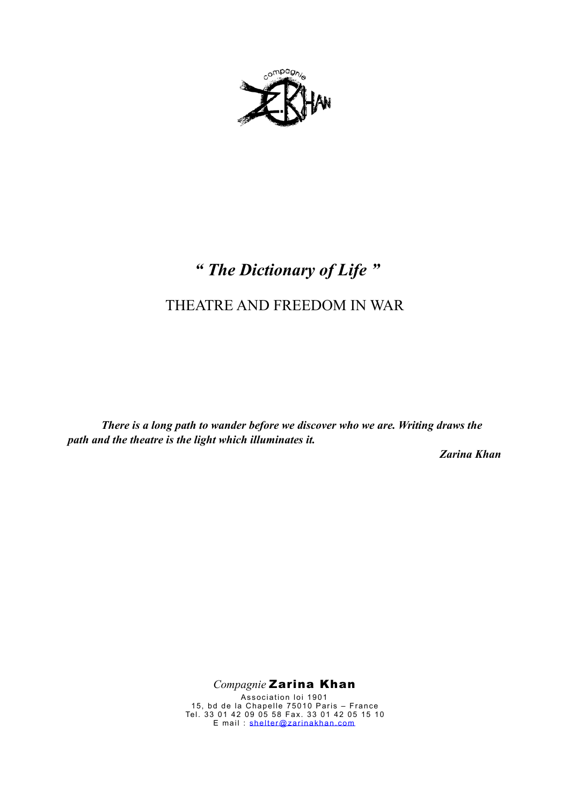

# *" The Dictionary of Life "*

# THEATRE AND FREEDOM IN WAR

*There is a long path to wander before we discover who we are. Writing draws the path and the theatre is the light which illuminates it.* 

*Zarina Khan* 

*Compagnie* Zarina Khan

Association loi 1901 15, bd de la Chapelle 75010 Paris – France Tel. 33 01 42 09 05 58 Fax. 33 01 42 05 15 10 E mail : [shelter@zarinakhan.com](mailto:shelter@ciezarinakhan.com)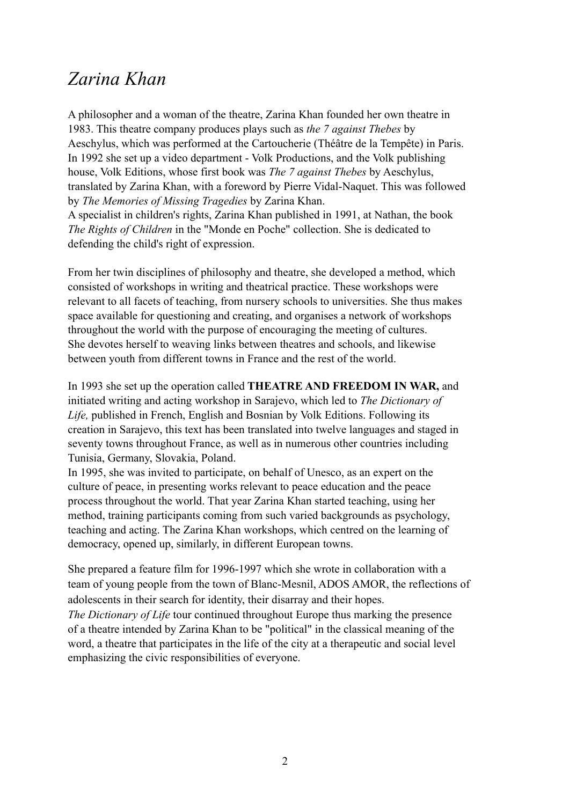# *Zarina Khan*

A philosopher and a woman of the theatre, Zarina Khan founded her own theatre in 1983. This theatre company produces plays such as *the 7 against Thebes* by Aeschylus, which was performed at the Cartoucherie (Théâtre de la Tempête) in Paris. In 1992 she set up a video department - Volk Productions, and the Volk publishing house, Volk Editions, whose first book was *The 7 against Thebes* by Aeschylus, translated by Zarina Khan, with a foreword by Pierre Vidal-Naquet. This was followed by *The Memories of Missing Tragedies* by Zarina Khan. A specialist in children's rights, Zarina Khan published in 1991, at Nathan, the book *The Rights of Children* in the "Monde en Poche" collection. She is dedicated to defending the child's right of expression.

From her twin disciplines of philosophy and theatre, she developed a method, which consisted of workshops in writing and theatrical practice. These workshops were relevant to all facets of teaching, from nursery schools to universities. She thus makes space available for questioning and creating, and organises a network of workshops throughout the world with the purpose of encouraging the meeting of cultures. She devotes herself to weaving links between theatres and schools, and likewise between youth from different towns in France and the rest of the world.

In 1993 she set up the operation called **THEATRE AND FREEDOM IN WAR,** and initiated writing and acting workshop in Sarajevo, which led to *The Dictionary of Life,* published in French, English and Bosnian by Volk Editions. Following its creation in Sarajevo, this text has been translated into twelve languages and staged in seventy towns throughout France, as well as in numerous other countries including Tunisia, Germany, Slovakia, Poland.

In 1995, she was invited to participate, on behalf of Unesco, as an expert on the culture of peace, in presenting works relevant to peace education and the peace process throughout the world. That year Zarina Khan started teaching, using her method, training participants coming from such varied backgrounds as psychology, teaching and acting. The Zarina Khan workshops, which centred on the learning of democracy, opened up, similarly, in different European towns.

She prepared a feature film for 1996-1997 which she wrote in collaboration with a team of young people from the town of Blanc-Mesnil, ADOS AMOR, the reflections of adolescents in their search for identity, their disarray and their hopes.

*The Dictionary of Life* tour continued throughout Europe thus marking the presence of a theatre intended by Zarina Khan to be "political" in the classical meaning of the word, a theatre that participates in the life of the city at a therapeutic and social level emphasizing the civic responsibilities of everyone.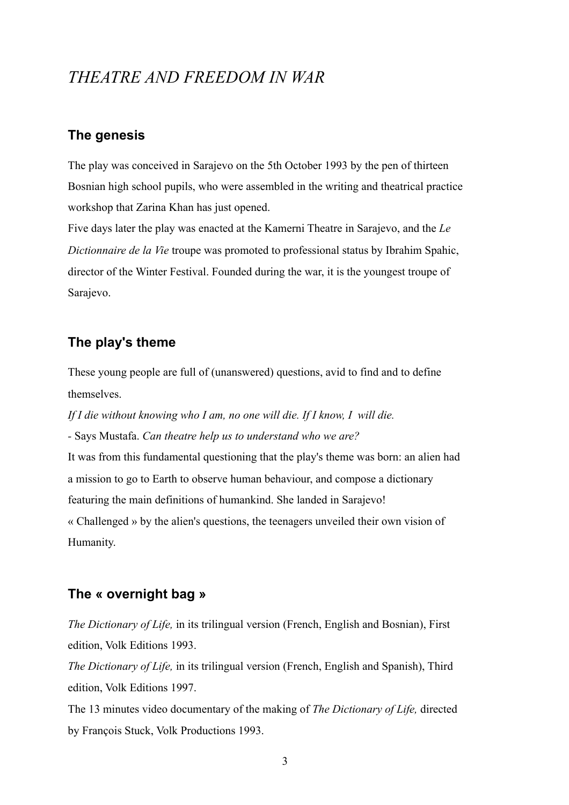## *THEATRE AND FREEDOM IN WAR*

#### **The genesis**

The play was conceived in Sarajevo on the 5th October 1993 by the pen of thirteen Bosnian high school pupils, who were assembled in the writing and theatrical practice workshop that Zarina Khan has just opened.

Five days later the play was enacted at the Kamerni Theatre in Sarajevo, and the *Le Dictionnaire de la Vie* troupe was promoted to professional status by Ibrahim Spahic, director of the Winter Festival. Founded during the war, it is the youngest troupe of Sarajevo.

#### **The play's theme**

These young people are full of (unanswered) questions, avid to find and to define themselves.

If I die without knowing who I am, no one will die. If I know, I will die. *-* Says Mustafa. *Can theatre help us to understand who we are?* It was from this fundamental questioning that the play's theme was born: an alien had a mission to go to Earth to observe human behaviour, and compose a dictionary featuring the main definitions of humankind. She landed in Sarajevo! « Challenged » by the alien's questions, the teenagers unveiled their own vision of

#### **The « overnight bag »**

Humanity.

*The Dictionary of Life,* in its trilingual version (French, English and Bosnian), First edition, Volk Editions 1993.

*The Dictionary of Life,* in its trilingual version (French, English and Spanish), Third edition, Volk Editions 1997.

The 13 minutes video documentary of the making of *The Dictionary of Life,* directed by François Stuck, Volk Productions 1993.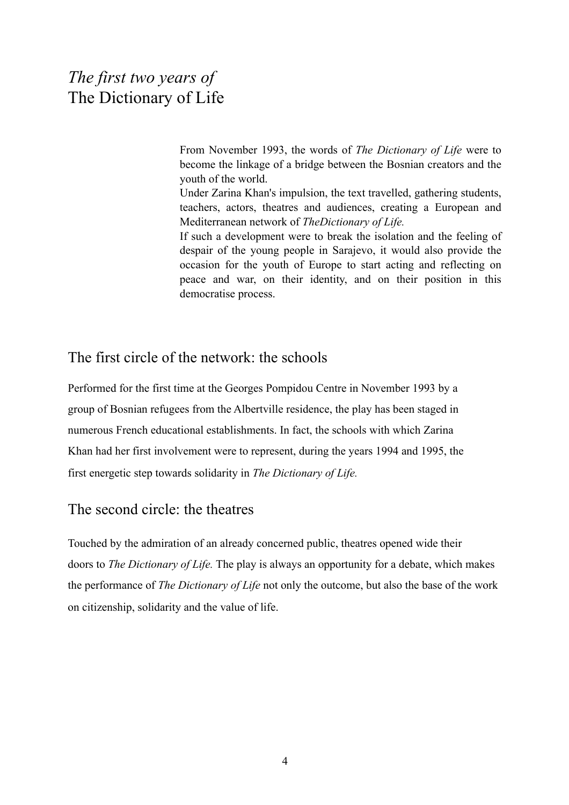# *The first two years of* The Dictionary of Life

From November 1993, the words of *The Dictionary of Life* were to become the linkage of a bridge between the Bosnian creators and the youth of the world.

Under Zarina Khan's impulsion, the text travelled, gathering students, teachers, actors, theatres and audiences, creating a European and Mediterranean network of *TheDictionary of Life.*

If such a development were to break the isolation and the feeling of despair of the young people in Sarajevo, it would also provide the occasion for the youth of Europe to start acting and reflecting on peace and war, on their identity, and on their position in this democratise process.

#### The first circle of the network: the schools

Performed for the first time at the Georges Pompidou Centre in November 1993 by a group of Bosnian refugees from the Albertville residence, the play has been staged in numerous French educational establishments. In fact, the schools with which Zarina Khan had her first involvement were to represent, during the years 1994 and 1995, the first energetic step towards solidarity in *The Dictionary of Life.*

#### The second circle: the theatres

Touched by the admiration of an already concerned public, theatres opened wide their doors to *The Dictionary of Life.* The play is always an opportunity for a debate, which makes the performance of *The Dictionary of Life* not only the outcome, but also the base of the work on citizenship, solidarity and the value of life.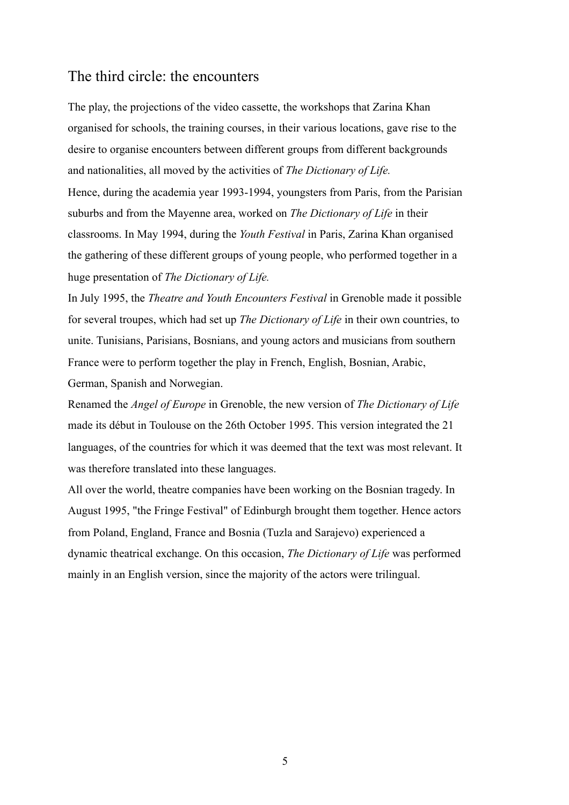#### The third circle: the encounters

The play, the projections of the video cassette, the workshops that Zarina Khan organised for schools, the training courses, in their various locations, gave rise to the desire to organise encounters between different groups from different backgrounds and nationalities, all moved by the activities of *The Dictionary of Life.* Hence, during the academia year 1993-1994, youngsters from Paris, from the Parisian suburbs and from the Mayenne area, worked on *The Dictionary of Life* in their classrooms. In May 1994, during the *Youth Festival* in Paris, Zarina Khan organised the gathering of these different groups of young people, who performed together in a huge presentation of *The Dictionary of Life.*

In July 1995, the *Theatre and Youth Encounters Festival* in Grenoble made it possible for several troupes, which had set up *The Dictionary of Life* in their own countries, to unite. Tunisians, Parisians, Bosnians, and young actors and musicians from southern France were to perform together the play in French, English, Bosnian, Arabic, German, Spanish and Norwegian.

Renamed the *Angel of Europe* in Grenoble, the new version of *The Dictionary of Life* made its début in Toulouse on the 26th October 1995. This version integrated the 21 languages, of the countries for which it was deemed that the text was most relevant. It was therefore translated into these languages.

All over the world, theatre companies have been working on the Bosnian tragedy. In August 1995, "the Fringe Festival" of Edinburgh brought them together. Hence actors from Poland, England, France and Bosnia (Tuzla and Sarajevo) experienced a dynamic theatrical exchange. On this occasion, *The Dictionary of Life* was performed mainly in an English version, since the majority of the actors were trilingual.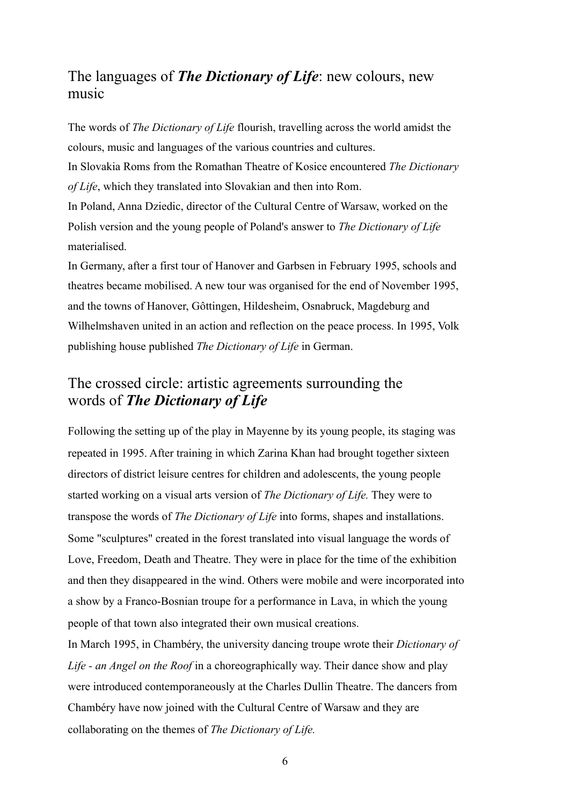### The languages of *The Dictionary of Life*: new colours, new music

The words of *The Dictionary of Life* flourish, travelling across the world amidst the colours, music and languages of the various countries and cultures. In Slovakia Roms from the Romathan Theatre of Kosice encountered *The Dictionary of Life*, which they translated into Slovakian and then into Rom. In Poland, Anna Dziedic, director of the Cultural Centre of Warsaw, worked on the Polish version and the young people of Poland's answer to *The Dictionary of Life* materialised.

In Germany, after a first tour of Hanover and Garbsen in February 1995, schools and theatres became mobilised. A new tour was organised for the end of November 1995, and the towns of Hanover, Gôttingen, Hildesheim, Osnabruck, Magdeburg and Wilhelmshaven united in an action and reflection on the peace process. In 1995, Volk publishing house published *The Dictionary of Life* in German.

## The crossed circle: artistic agreements surrounding the words of *The Dictionary of Life*

Following the setting up of the play in Mayenne by its young people, its staging was repeated in 1995. After training in which Zarina Khan had brought together sixteen directors of district leisure centres for children and adolescents, the young people started working on a visual arts version of *The Dictionary of Life.* They were to transpose the words of *The Dictionary of Life* into forms, shapes and installations. Some "sculptures" created in the forest translated into visual language the words of Love, Freedom, Death and Theatre. They were in place for the time of the exhibition and then they disappeared in the wind. Others were mobile and were incorporated into a show by a Franco-Bosnian troupe for a performance in Lava, in which the young people of that town also integrated their own musical creations.

In March 1995, in Chambéry, the university dancing troupe wrote their *Dictionary of Life - an Angel on the Roof* in a choreographically way. Their dance show and play were introduced contemporaneously at the Charles Dullin Theatre. The dancers from Chambéry have now joined with the Cultural Centre of Warsaw and they are collaborating on the themes of *The Dictionary of Life.*